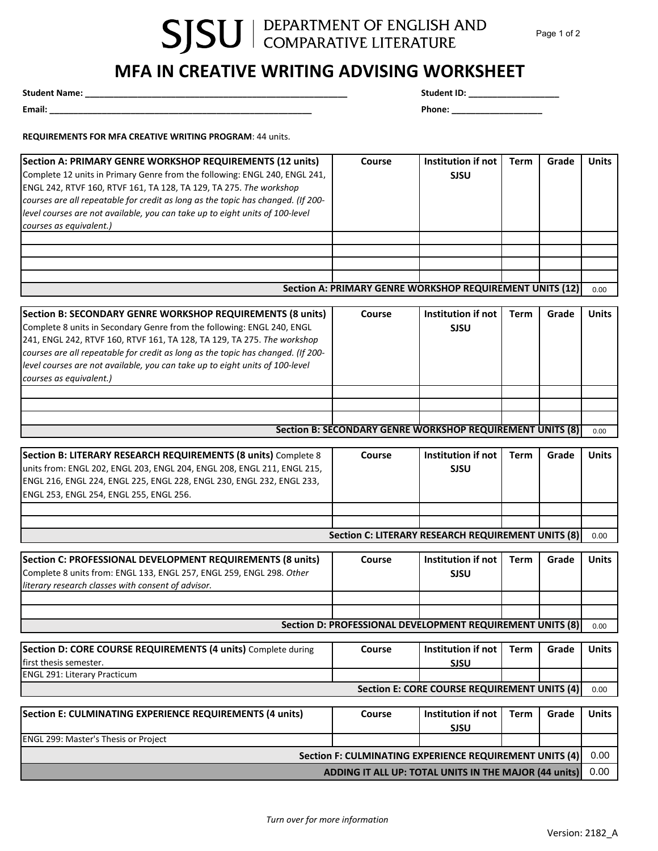## SJSU | DEPARTMENT OF ENGLISH AND

## **MFA IN CREATIVE WRITING ADVISING WORKSHEET**

**Student Name: \_\_\_\_\_\_\_\_\_\_\_\_\_\_\_\_\_\_\_\_\_\_\_\_\_\_\_\_\_\_\_\_\_\_\_\_\_\_\_\_\_\_\_\_\_\_\_\_\_\_\_\_\_\_\_ Student ID: \_\_\_\_\_\_\_\_\_\_\_\_\_\_\_\_\_\_\_**

**Email: \_\_\_\_\_\_\_\_\_\_\_\_\_\_\_\_\_\_\_\_\_\_\_\_\_\_\_\_\_\_\_\_\_\_\_\_\_\_\_\_\_\_\_\_\_\_\_\_\_\_\_\_\_\_\_ Phone: \_\_\_\_\_\_\_\_\_\_\_\_\_\_\_\_\_\_\_**

**REQUIREMENTS FOR MFA CREATIVE WRITING PROGRAM**: 44 units.

| Section A: PRIMARY GENRE WORKSHOP REQUIREMENTS (12 units)<br>Complete 12 units in Primary Genre from the following: ENGL 240, ENGL 241,<br>ENGL 242, RTVF 160, RTVF 161, TA 128, TA 129, TA 275. The workshop<br>courses are all repeatable for credit as long as the topic has changed. (If 200-<br>level courses are not available, you can take up to eight units of 100-level<br>courses as equivalent.)   | Course                                                    | Institution if not<br><b>SJSU</b>            | <b>Term</b> | Grade | <b>Units</b> |
|----------------------------------------------------------------------------------------------------------------------------------------------------------------------------------------------------------------------------------------------------------------------------------------------------------------------------------------------------------------------------------------------------------------|-----------------------------------------------------------|----------------------------------------------|-------------|-------|--------------|
|                                                                                                                                                                                                                                                                                                                                                                                                                |                                                           |                                              |             |       |              |
|                                                                                                                                                                                                                                                                                                                                                                                                                |                                                           |                                              |             |       |              |
|                                                                                                                                                                                                                                                                                                                                                                                                                | Section A: PRIMARY GENRE WORKSHOP REQUIREMENT UNITS (12)  |                                              |             |       | 0.00         |
|                                                                                                                                                                                                                                                                                                                                                                                                                |                                                           |                                              |             |       |              |
| Section B: SECONDARY GENRE WORKSHOP REQUIREMENTS (8 units)<br>Complete 8 units in Secondary Genre from the following: ENGL 240, ENGL<br>241, ENGL 242, RTVF 160, RTVF 161, TA 128, TA 129, TA 275. The workshop<br>courses are all repeatable for credit as long as the topic has changed. (If 200-<br>level courses are not available, you can take up to eight units of 100-level<br>courses as equivalent.) | Course                                                    | Institution if not<br><b>SJSU</b>            | <b>Term</b> | Grade | <b>Units</b> |
|                                                                                                                                                                                                                                                                                                                                                                                                                |                                                           |                                              |             |       |              |
|                                                                                                                                                                                                                                                                                                                                                                                                                |                                                           |                                              |             |       |              |
|                                                                                                                                                                                                                                                                                                                                                                                                                | Section B: SECONDARY GENRE WORKSHOP REQUIREMENT UNITS (8) |                                              |             |       | 0.00         |
| Section B: LITERARY RESEARCH REQUIREMENTS (8 units) Complete 8                                                                                                                                                                                                                                                                                                                                                 | Course                                                    | Institution if not                           | <b>Term</b> | Grade | <b>Units</b> |
| units from: ENGL 202, ENGL 203, ENGL 204, ENGL 208, ENGL 211, ENGL 215,<br>ENGL 216, ENGL 224, ENGL 225, ENGL 228, ENGL 230, ENGL 232, ENGL 233,<br>ENGL 253, ENGL 254, ENGL 255, ENGL 256.                                                                                                                                                                                                                    |                                                           | <b>SJSU</b>                                  |             |       |              |
|                                                                                                                                                                                                                                                                                                                                                                                                                |                                                           |                                              |             |       |              |
|                                                                                                                                                                                                                                                                                                                                                                                                                | <b>Section C: LITERARY RESEARCH REQUIREMENT UNITS (8)</b> |                                              |             |       | 0.00         |
| Section C: PROFESSIONAL DEVELOPMENT REQUIREMENTS (8 units)<br>Complete 8 units from: ENGL 133, ENGL 257, ENGL 259, ENGL 298. Other<br>literary research classes with consent of advisor.                                                                                                                                                                                                                       | Course                                                    | Institution if not<br><b>SJSU</b>            | <b>Term</b> | Grade | <b>Units</b> |
|                                                                                                                                                                                                                                                                                                                                                                                                                |                                                           |                                              |             |       |              |
|                                                                                                                                                                                                                                                                                                                                                                                                                | Section D: PROFESSIONAL DEVELOPMENT REQUIREMENT UNITS (8) |                                              |             |       | 0.00         |
|                                                                                                                                                                                                                                                                                                                                                                                                                |                                                           |                                              |             |       |              |
| Section D: CORE COURSE REQUIREMENTS (4 units) Complete during<br>first thesis semester.                                                                                                                                                                                                                                                                                                                        | Course                                                    | Institution if not<br><b>SJSU</b>            | <b>Term</b> | Grade | <b>Units</b> |
| <b>ENGL 291: Literary Practicum</b>                                                                                                                                                                                                                                                                                                                                                                            |                                                           |                                              |             |       |              |
|                                                                                                                                                                                                                                                                                                                                                                                                                |                                                           | Section E: CORE COURSE REQUIREMENT UNITS (4) |             |       | 0.00         |
| Section E: CULMINATING EXPERIENCE REQUIREMENTS (4 units)                                                                                                                                                                                                                                                                                                                                                       | Course                                                    | <b>Institution if not</b><br><b>SJSU</b>     | <b>Term</b> | Grade | <b>Units</b> |
| ENGL 299: Master's Thesis or Project                                                                                                                                                                                                                                                                                                                                                                           |                                                           |                                              |             |       |              |
| Section F: CULMINATING EXPERIENCE REQUIREMENT UNITS (4)                                                                                                                                                                                                                                                                                                                                                        |                                                           |                                              |             | 0.00  |              |
| ADDING IT ALL UP: TOTAL UNITS IN THE MAJOR (44 units)                                                                                                                                                                                                                                                                                                                                                          |                                                           |                                              |             | 0.00  |              |